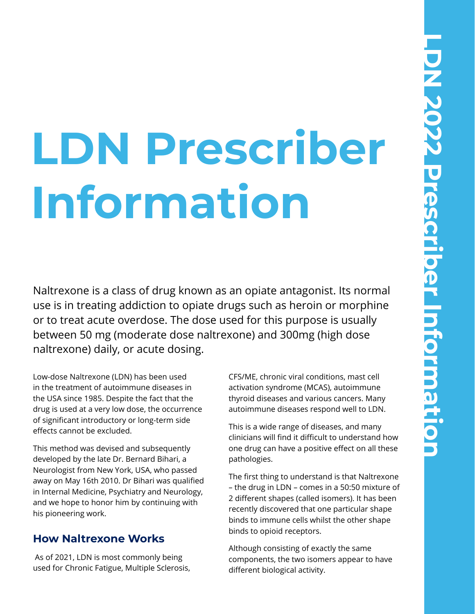# **LDN Prescriber Information**

Naltrexone is a class of drug known as an opiate antagonist. Its normal use is in treating addiction to opiate drugs such as heroin or morphine or to treat acute overdose. The dose used for this purpose is usually between 50 mg (moderate dose naltrexone) and 300mg (high dose naltrexone) daily, or acute dosing.

Low-dose Naltrexone (LDN) has been used in the treatment of autoimmune diseases in the USA since 1985. Despite the fact that the drug is used at a very low dose, the occurrence of significant introductory or long-term side effects cannot be excluded.

This method was devised and subsequently developed by the late Dr. Bernard Bihari, a Neurologist from New York, USA, who passed away on May 16th 2010. Dr Bihari was qualified in Internal Medicine, Psychiatry and Neurology, and we hope to honor him by continuing with his pioneering work.

#### **How Naltrexone Works**

 As of 2021, LDN is most commonly being used for Chronic Fatigue, Multiple Sclerosis, CFS/ME, chronic viral conditions, mast cell activation syndrome (MCAS), autoimmune thyroid diseases and various cancers. Many autoimmune diseases respond well to LDN.

This is a wide range of diseases, and many clinicians will find it difficult to understand how one drug can have a positive effect on all these pathologies.

The first thing to understand is that Naltrexone – the drug in LDN – comes in a 50:50 mixture of 2 different shapes (called isomers). It has been recently discovered that one particular shape binds to immune cells whilst the other shape binds to opioid receptors.

Although consisting of exactly the same components, the two isomers appear to have different biological activity.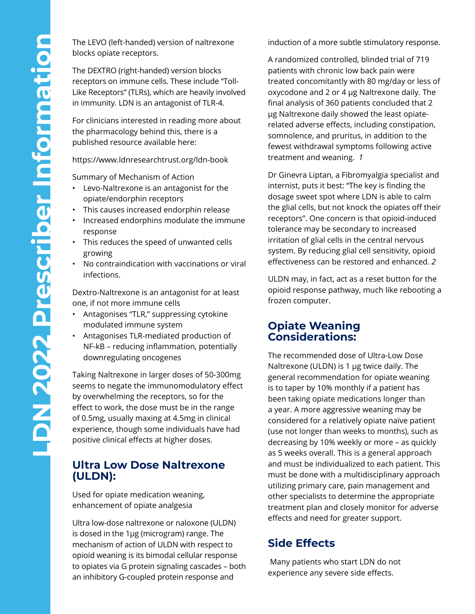blocks opiate receptors.

The DEXTRO (right-handed) version blocks receptors on immune cells. These include "Toll-Like Receptors" (TLRs), which are heavily involved in immunity. LDN is an antagonist of TLR-4.

For clinicians interested in reading more about the pharmacology behind this, there is a published resource available here:

https://www.ldnresearchtrust.org/ldn-book

Summary of Mechanism of Action

- Levo-Naltrexone is an antagonist for the opiate/endorphin receptors
- This causes increased endorphin release
- Increased endorphins modulate the immune response
- This reduces the speed of unwanted cells growing
- No contraindication with vaccinations or viral infections.

Dextro-Naltrexone is an antagonist for at least one, if not more immune cells

- Antagonises "TLR," suppressing cytokine modulated immune system
- Antagonises TLR-mediated production of NF-kB – reducing inflammation, potentially downregulating oncogenes

The LEVO (left-handed) version of nattrexone<br>
The DEXTRO (right-handed) version blocks<br>
The DEXTRO (right-handed) version blocks<br>
Like Receptors" (TLRS), which are heavily involved<br>
In immunity. LDN is an antagonist of TLR Taking Naltrexone in larger doses of 50-300mg seems to negate the immunomodulatory effect by overwhelming the receptors, so for the effect to work, the dose must be in the range of 0.5mg, usually maxing at 4.5mg in clinical experience, though some individuals have had positive clinical effects at higher doses.

#### **Ultra Low Dose Naltrexone (ULDN):**

Used for opiate medication weaning, enhancement of opiate analgesia

Ultra low-dose naltrexone or naloxone (ULDN) is dosed in the 1μg (microgram) range. The mechanism of action of ULDN with respect to opioid weaning is its bimodal cellular response to opiates via G protein signaling cascades – both an inhibitory G-coupled protein response and

induction of a more subtle stimulatory response.

A randomized controlled, blinded trial of 719 patients with chronic low back pain were treated concomitantly with 80 mg/day or less of oxycodone and 2 or 4 μg Naltrexone daily. The final analysis of 360 patients concluded that 2 μg Naltrexone daily showed the least opiaterelated adverse effects, including constipation, somnolence, and pruritus, in addition to the fewest withdrawal symptoms following active treatment and weaning. *1*

Dr Ginevra Liptan, a Fibromyalgia specialist and internist, puts it best: "The key is finding the dosage sweet spot where LDN is able to calm the glial cells, but not knock the opiates off their receptors". One concern is that opioid-induced tolerance may be secondary to increased irritation of glial cells in the central nervous system. By reducing glial cell sensitivity, opioid effectiveness can be restored and enhanced. *2*

ULDN may, in fact, act as a reset button for the opioid response pathway, much like rebooting a frozen computer.

#### **Opiate Weaning Considerations:**

The recommended dose of Ultra-Low Dose Naltrexone (ULDN) is 1 μg twice daily. The general recommendation for opiate weaning is to taper by 10% monthly if a patient has been taking opiate medications longer than a year. A more aggressive weaning may be considered for a relatively opiate naïve patient (use not longer than weeks to months), such as decreasing by 10% weekly or more – as quickly as 5 weeks overall. This is a general approach and must be individualized to each patient. This must be done with a multidisciplinary approach utilizing primary care, pain management and other specialists to determine the appropriate treatment plan and closely monitor for adverse effects and need for greater support.

## **Side Effects**

 Many patients who start LDN do not experience any severe side effects.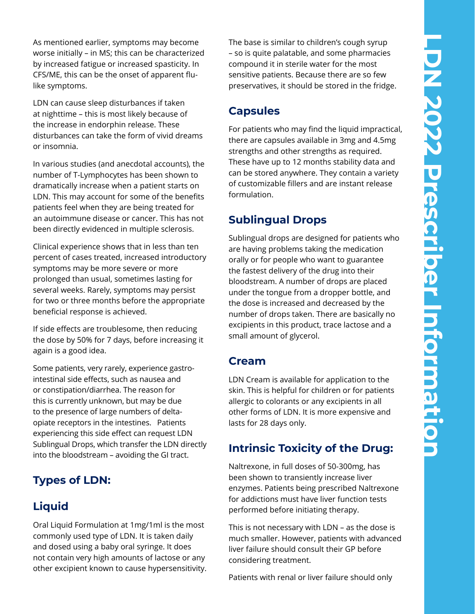As mentioned earlier, symptoms may become worse initially – in MS; this can be characterized by increased fatigue or increased spasticity. In CFS/ME, this can be the onset of apparent flulike symptoms.

LDN can cause sleep disturbances if taken at nighttime – this is most likely because of the increase in endorphin release. These disturbances can take the form of vivid dreams or insomnia.

In various studies (and anecdotal accounts), the number of T-Lymphocytes has been shown to dramatically increase when a patient starts on LDN. This may account for some of the benefits patients feel when they are being treated for an autoimmune disease or cancer. This has not been directly evidenced in multiple sclerosis.

Clinical experience shows that in less than ten percent of cases treated, increased introductory symptoms may be more severe or more prolonged than usual, sometimes lasting for several weeks. Rarely, symptoms may persist for two or three months before the appropriate beneficial response is achieved.

If side effects are troublesome, then reducing the dose by 50% for 7 days, before increasing it again is a good idea.

Some patients, very rarely, experience gastrointestinal side effects, such as nausea and or constipation/diarrhea. The reason for this is currently unknown, but may be due to the presence of large numbers of deltaopiate receptors in the intestines. Patients experiencing this side effect can request LDN Sublingual Drops, which transfer the LDN directly into the bloodstream – avoiding the GI tract.

## **Types of LDN:**

# **Liquid**

Oral Liquid Formulation at 1mg/1ml is the most commonly used type of LDN. It is taken daily and dosed using a baby oral syringe. It does not contain very high amounts of lactose or any other excipient known to cause hypersensitivity. The base is similar to children's cough syrup – so is quite palatable, and some pharmacies compound it in sterile water for the most sensitive patients. Because there are so few preservatives, it should be stored in the fridge.

## **Capsules**

For patients who may find the liquid impractical, there are capsules available in 3mg and 4.5mg strengths and other strengths as required. These have up to 12 months stability data and can be stored anywhere. They contain a variety of customizable fillers and are instant release formulation.

# **Sublingual Drops**

Sublingual drops are designed for patients who are having problems taking the medication orally or for people who want to guarantee the fastest delivery of the drug into their bloodstream. A number of drops are placed under the tongue from a dropper bottle, and the dose is increased and decreased by the number of drops taken. There are basically no excipients in this product, trace lactose and a small amount of glycerol.

## **Cream**

LDN Cream is available for application to the skin. This is helpful for children or for patients allergic to colorants or any excipients in all other forms of LDN. It is more expensive and lasts for 28 days only.

# **Intrinsic Toxicity of the Drug:**

Naltrexone, in full doses of 50-300mg, has been shown to transiently increase liver enzymes. Patients being prescribed Naltrexone for addictions must have liver function tests performed before initiating therapy.

This is not necessary with LDN – as the dose is much smaller. However, patients with advanced liver failure should consult their GP before considering treatment.

Patients with renal or liver failure should only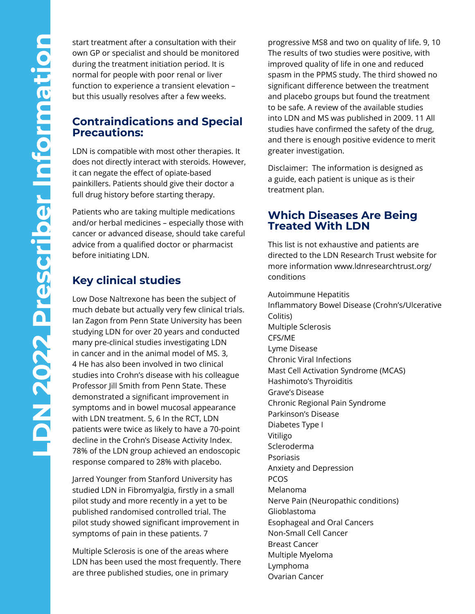own GP or specialist and should be monitored during the treatment initiation period. It is normal for people with poor renal or liver function to experience a transient elevation – but this usually resolves after a few weeks.

#### **Contraindications and Special Precautions:**

LDN is compatible with most other therapies. It does not directly interact with steroids. However, it can negate the effect of opiate-based painkillers. Patients should give their doctor a full drug history before starting therapy.

Patients who are taking multiple medications and/or herbal medicines – especially those with cancer or advanced disease, should take careful advice from a qualified doctor or pharmacist before initiating LDN.

# **Key clinical studies**

start treatment after a consultation with their<br>wind 6 or specialist and should be monitored<br>in during the treatment initiation period. It is<br>normal for people with poor renal or liver<br>function to experience a transient el Low Dose Naltrexone has been the subject of much debate but actually very few clinical trials. Ian Zagon from Penn State University has been studying LDN for over 20 years and conducted many pre-clinical studies investigating LDN in cancer and in the animal model of MS. 3, 4 He has also been involved in two clinical studies into Crohn's disease with his colleague Professor Jill Smith from Penn State. These demonstrated a significant improvement in symptoms and in bowel mucosal appearance with LDN treatment. 5, 6 In the RCT, LDN patients were twice as likely to have a 70-point decline in the Crohn's Disease Activity Index. 78% of the LDN group achieved an endoscopic response compared to 28% with placebo.

> Jarred Younger from Stanford University has studied LDN in Fibromyalgia, firstly in a small pilot study and more recently in a yet to be published randomised controlled trial. The pilot study showed significant improvement in symptoms of pain in these patients. 7

Multiple Sclerosis is one of the areas where LDN has been used the most frequently. There are three published studies, one in primary

progressive MS8 and two on quality of life. 9, 10 The results of two studies were positive, with improved quality of life in one and reduced spasm in the PPMS study. The third showed no significant difference between the treatment and placebo groups but found the treatment to be safe. A review of the available studies into LDN and MS was published in 2009. 11 All studies have confirmed the safety of the drug, and there is enough positive evidence to merit greater investigation.

Disclaimer: The information is designed as a guide, each patient is unique as is their treatment plan.

#### **Which Diseases Are Being Treated With LDN**

This list is not exhaustive and patients are directed to the LDN Research Trust website for more information www.ldnresearchtrust.org/ conditions

Autoimmune Hepatitis Inflammatory Bowel Disease (Crohn's/Ulcerative Colitis) Multiple Sclerosis CFS/ME Lyme Disease Chronic Viral Infections Mast Cell Activation Syndrome (MCAS) Hashimoto's Thyroiditis Grave's Disease Chronic Regional Pain Syndrome Parkinson's Disease Diabetes Type I Vitiligo Scleroderma Psoriasis Anxiety and Depression PCOS Melanoma Nerve Pain (Neuropathic conditions) Glioblastoma Esophageal and Oral Cancers Non-Small Cell Cancer Breast Cancer Multiple Myeloma Lymphoma Ovarian Cancer